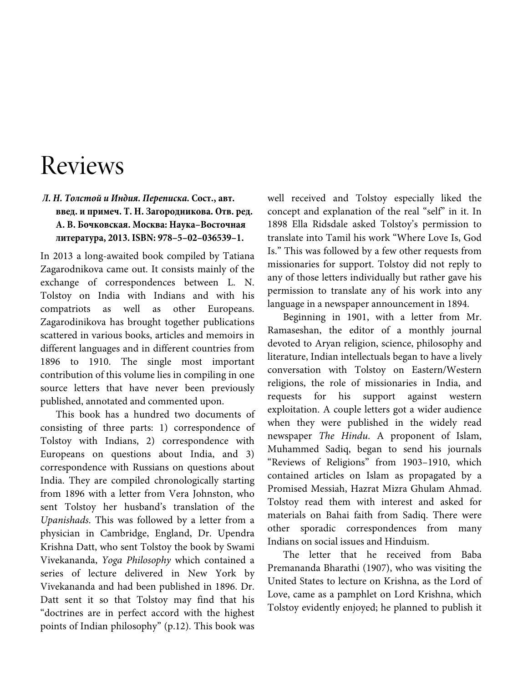## Reviews

## *Л. Н. Толстой и Индия. Переписка.* **Сост., авт. введ. и примеч. Т. Н. Загородникова. Oтв. ред. А. В. Бочковская. Москва: Наука–Восточная литература, 2013. ISBN: 978–5–02–036539–1.**

In 2013 a long-awaited book compiled by Tatiana Zagarodnikova came out. It consists mainly of the exchange of correspondences between L. N. Tolstoy on India with Indians and with his compatriots as well as other Europeans. Zagarodinikova has brought together publications scattered in various books, articles and memoirs in different languages and in different countries from 1896 to 1910. The single most important contribution of this volume lies in compiling in one source letters that have never been previously published, annotated and commented upon.

This book has a hundred two documents of consisting of three parts: 1) correspondence of Tolstoy with Indians, 2) correspondence with Europeans on questions about India, and 3) correspondence with Russians on questions about India. They are compiled chronologically starting from 1896 with a letter from Vera Johnston, who sent Tolstoy her husband's translation of the *Upanishads*. This was followed by a letter from a physician in Cambridge, England, Dr. Upendra Krishna Datt, who sent Tolstoy the book by Swami Vivekananda, *Yoga Philosophy* which contained a series of lecture delivered in New York by Vivekananda and had been published in 1896. Dr. Datt sent it so that Tolstoy may find that his "doctrines are in perfect accord with the highest points of Indian philosophy" (p.12). This book was

well received and Tolstoy especially liked the concept and explanation of the real "self" in it. In 1898 Ella Ridsdale asked Tolstoy's permission to translate into Tamil his work "Where Love Is, God Is." This was followed by a few other requests from missionaries for support. Tolstoy did not reply to any of those letters individually but rather gave his permission to translate any of his work into any language in a newspaper announcement in 1894.

Beginning in 1901, with a letter from Mr. Ramaseshan, the editor of a monthly journal devoted to Aryan religion, science, philosophy and literature, Indian intellectuals began to have a lively conversation with Tolstoy on Eastern/Western religions, the role of missionaries in India, and requests for his support against western exploitation. A couple letters got a wider audience when they were published in the widely read newspaper *The Hindu*. A proponent of Islam, Muhammed Sadiq, began to send his journals "Reviews of Religions" from 1903–1910, which contained articles on Islam as propagated by a Promised Messiah, Hazrat Mizra Ghulam Ahmad. Tolstoy read them with interest and asked for materials on Bahai faith from Sadiq. There were other sporadic correspondences from many Indians on social issues and Hinduism.

The letter that he received from Baba Premananda Bharathi (1907), who was visiting the United States to lecture on Krishna, as the Lord of Love, came as a pamphlet on Lord Krishna, which Tolstoy evidently enjoyed; he planned to publish it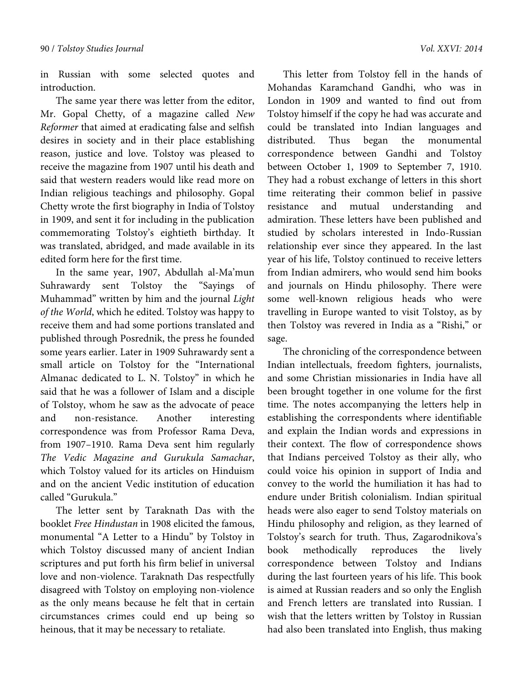in Russian with some selected quotes and introduction.

The same year there was letter from the editor, Mr. Gopal Chetty, of a magazine called *New Reformer* that aimed at eradicating false and selfish desires in society and in their place establishing reason, justice and love. Tolstoy was pleased to receive the magazine from 1907 until his death and said that western readers would like read more on Indian religious teachings and philosophy. Gopal Chetty wrote the first biography in India of Tolstoy in 1909, and sent it for including in the publication commemorating Tolstoy's eightieth birthday. It was translated, abridged, and made available in its edited form here for the first time.

In the same year, 1907, Abdullah al-Ma'mun Suhrawardy sent Tolstoy the "Sayings of Muhammad" written by him and the journal *Light of the World*, which he edited. Tolstoy was happy to receive them and had some portions translated and published through Posrednik, the press he founded some years earlier. Later in 1909 Suhrawardy sent a small article on Tolstoy for the "International Almanac dedicated to L. N. Tolstoy" in which he said that he was a follower of Islam and a disciple of Tolstoy, whom he saw as the advocate of peace and non-resistance. Another interesting correspondence was from Professor Rama Deva, from 1907–1910. Rama Deva sent him regularly *The Vedic Magazine and Gurukula Samachar*, which Tolstoy valued for its articles on Hinduism and on the ancient Vedic institution of education called "Gurukula."

The letter sent by Taraknath Das with the booklet *Free Hindustan* in 1908 elicited the famous, monumental "A Letter to a Hindu" by Tolstoy in which Tolstoy discussed many of ancient Indian scriptures and put forth his firm belief in universal love and non-violence. Taraknath Das respectfully disagreed with Tolstoy on employing non-violence as the only means because he felt that in certain circumstances crimes could end up being so heinous, that it may be necessary to retaliate.

This letter from Tolstoy fell in the hands of Mohandas Karamchand Gandhi, who was in London in 1909 and wanted to find out from Tolstoy himself if the copy he had was accurate and could be translated into Indian languages and distributed. Thus began the monumental correspondence between Gandhi and Tolstoy between October 1, 1909 to September 7, 1910. They had a robust exchange of letters in this short time reiterating their common belief in passive resistance and mutual understanding and admiration. These letters have been published and studied by scholars interested in Indo-Russian relationship ever since they appeared. In the last year of his life, Tolstoy continued to receive letters from Indian admirers, who would send him books and journals on Hindu philosophy. There were some well-known religious heads who were travelling in Europe wanted to visit Tolstoy, as by then Tolstoy was revered in India as a "Rishi," or sage.

The chronicling of the correspondence between Indian intellectuals, freedom fighters, journalists, and some Christian missionaries in India have all been brought together in one volume for the first time. The notes accompanying the letters help in establishing the correspondents where identifiable and explain the Indian words and expressions in their context. The flow of correspondence shows that Indians perceived Tolstoy as their ally, who could voice his opinion in support of India and convey to the world the humiliation it has had to endure under British colonialism. Indian spiritual heads were also eager to send Tolstoy materials on Hindu philosophy and religion, as they learned of Tolstoy's search for truth. Thus, Zagarodnikova's book methodically reproduces the lively correspondence between Tolstoy and Indians during the last fourteen years of his life. This book is aimed at Russian readers and so only the English and French letters are translated into Russian. I wish that the letters written by Tolstoy in Russian had also been translated into English, thus making